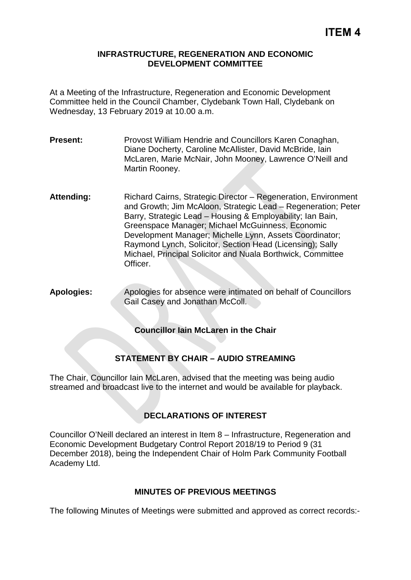#### **INFRASTRUCTURE, REGENERATION AND ECONOMIC DEVELOPMENT COMMITTEE**

At a Meeting of the Infrastructure, Regeneration and Economic Development Committee held in the Council Chamber, Clydebank Town Hall, Clydebank on Wednesday, 13 February 2019 at 10.00 a.m.

- **Present:** Provost William Hendrie and Councillors Karen Conaghan, Diane Docherty, Caroline McAllister, David McBride, Iain McLaren, Marie McNair, John Mooney, Lawrence O'Neill and Martin Rooney.
- **Attending:** Richard Cairns, Strategic Director Regeneration, Environment and Growth; Jim McAloon, Strategic Lead – Regeneration; Peter Barry, Strategic Lead – Housing & Employability; Ian Bain, Greenspace Manager; Michael McGuinness, Economic Development Manager; Michelle Lynn, Assets Coordinator; Raymond Lynch, Solicitor, Section Head (Licensing); Sally Michael, Principal Solicitor and Nuala Borthwick, Committee Officer.
- **Apologies:** Apologies for absence were intimated on behalf of Councillors Gail Casey and Jonathan McColl.

# **Councillor Iain McLaren in the Chair**

# **STATEMENT BY CHAIR – AUDIO STREAMING**

The Chair, Councillor Iain McLaren, advised that the meeting was being audio streamed and broadcast live to the internet and would be available for playback.

# **DECLARATIONS OF INTEREST**

Councillor O'Neill declared an interest in Item 8 – Infrastructure, Regeneration and Economic Development Budgetary Control Report 2018/19 to Period 9 (31 December 2018), being the Independent Chair of Holm Park Community Football Academy Ltd.

# **MINUTES OF PREVIOUS MEETINGS**

The following Minutes of Meetings were submitted and approved as correct records:-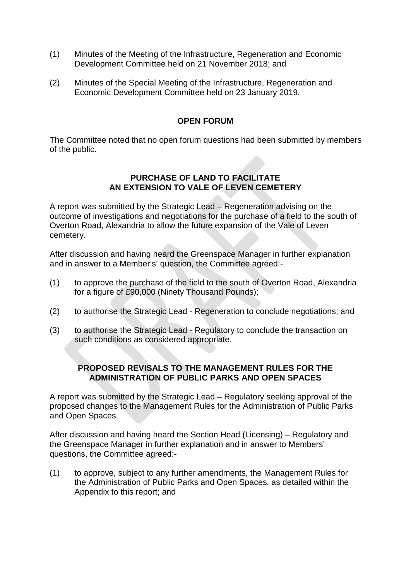- (1) Minutes of the Meeting of the Infrastructure, Regeneration and Economic Development Committee held on 21 November 2018; and
- (2) Minutes of the Special Meeting of the Infrastructure, Regeneration and Economic Development Committee held on 23 January 2019.

#### **OPEN FORUM**

The Committee noted that no open forum questions had been submitted by members of the public.

#### **PURCHASE OF LAND TO FACILITATE AN EXTENSION TO VALE OF LEVEN CEMETERY**

A report was submitted by the Strategic Lead – Regeneration advising on the outcome of investigations and negotiations for the purchase of a field to the south of Overton Road, Alexandria to allow the future expansion of the Vale of Leven cemetery.

After discussion and having heard the Greenspace Manager in further explanation and in answer to a Member's' question, the Committee agreed:-

- (1) to approve the purchase of the field to the south of Overton Road, Alexandria for a figure of £90,000 (Ninety Thousand Pounds);
- (2) to authorise the Strategic Lead Regeneration to conclude negotiations; and
- (3) to authorise the Strategic Lead Regulatory to conclude the transaction on such conditions as considered appropriate.

### **PROPOSED REVISALS TO THE MANAGEMENT RULES FOR THE ADMINISTRATION OF PUBLIC PARKS AND OPEN SPACES**

A report was submitted by the Strategic Lead – Regulatory seeking approval of the proposed changes to the Management Rules for the Administration of Public Parks and Open Spaces.

After discussion and having heard the Section Head (Licensing) – Regulatory and the Greenspace Manager in further explanation and in answer to Members' questions, the Committee agreed:-

(1) to approve, subject to any further amendments, the Management Rules for the Administration of Public Parks and Open Spaces, as detailed within the Appendix to this report; and